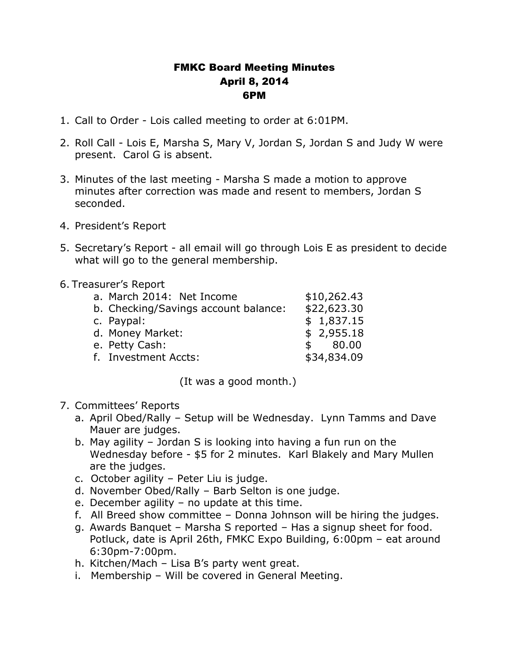## FMKC Board Meeting Minutes April 8, 2014 6PM

- 1. Call to Order Lois called meeting to order at 6:01PM.
- 2. Roll Call Lois E, Marsha S, Mary V, Jordan S, Jordan S and Judy W were present. Carol G is absent.
- 3. Minutes of the last meeting Marsha S made a motion to approve minutes after correction was made and resent to members, Jordan S seconded.
- 4. President's Report
- 5. Secretary's Report all email will go through Lois E as president to decide what will go to the general membership.

## 6. Treasurer's Report

| a. March 2014: Net Income            | \$10,262.43           |
|--------------------------------------|-----------------------|
| b. Checking/Savings account balance: | \$22,623.30           |
| c. Paypal:                           | \$1,837.15            |
| d. Money Market:                     | \$2,955.18            |
| e. Petty Cash:                       | 80.00<br>$\mathbf{s}$ |
| f. Investment Accts:                 | \$34,834.09           |
|                                      |                       |

(It was a good month.)

## 7. Committees' Reports

- a. April Obed/Rally Setup will be Wednesday. Lynn Tamms and Dave Mauer are judges.
- b. May agility Jordan S is looking into having a fun run on the Wednesday before - \$5 for 2 minutes. Karl Blakely and Mary Mullen are the judges.
- c. October agility Peter Liu is judge.
- d. November Obed/Rally Barb Selton is one judge.
- e. December agility no update at this time.
- f. All Breed show committee Donna Johnson will be hiring the judges.
- g. Awards Banquet Marsha S reported Has a signup sheet for food. Potluck, date is April 26th, FMKC Expo Building, 6:00pm – eat around 6:30pm-7:00pm.
- h. Kitchen/Mach Lisa B's party went great.
- i. Membership Will be covered in General Meeting.